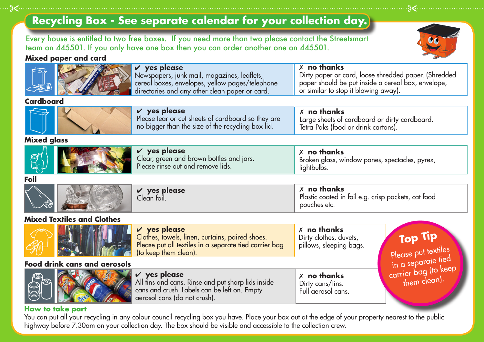# **Recycling Box - See separate calendar for your collection day.**

Every house is entitled to two free boxes. If you need more than two please contact the Streetsmart team on 445501. If you only have one box then you can order another one on 445501.

#### **Mixed paper and card**



7 **no thanks** 

#### **How to take part**

You can put all your recycling in any colour council recycling box you have. Place your box out at the edge of your property nearest to the public highway before 7.30am on your collection day. The box should be visible and accessible to the collection crew.